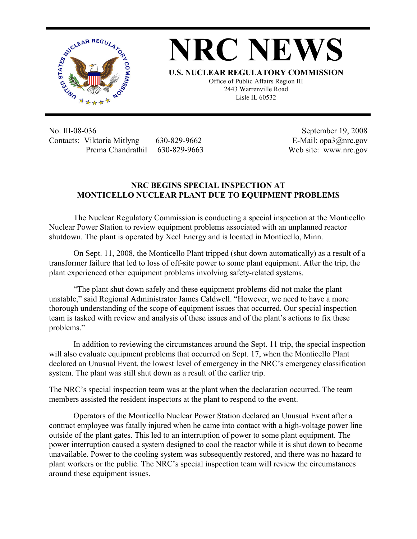

**NRC NEWS**

**U.S. NUCLEAR REGULATORY COMMISSION**

Office of Public Affairs Region III 2443 Warrenville Road Lisle IL 60532

No. III-08-036 Contacts: Viktoria Mitlyng 630-829-9662 Prema Chandrathil 630-829-9663

 September 19, 2008 E-Mail: opa3@nrc.gov Web site: www.nrc.gov

## **NRC BEGINS SPECIAL INSPECTION AT MONTICELLO NUCLEAR PLANT DUE TO EQUIPMENT PROBLEMS**

The Nuclear Regulatory Commission is conducting a special inspection at the Monticello Nuclear Power Station to review equipment problems associated with an unplanned reactor shutdown. The plant is operated by Xcel Energy and is located in Monticello, Minn.

On Sept. 11, 2008, the Monticello Plant tripped (shut down automatically) as a result of a transformer failure that led to loss of off-site power to some plant equipment. After the trip, the plant experienced other equipment problems involving safety-related systems.

"The plant shut down safely and these equipment problems did not make the plant unstable," said Regional Administrator James Caldwell. "However, we need to have a more thorough understanding of the scope of equipment issues that occurred. Our special inspection team is tasked with review and analysis of these issues and of the plant's actions to fix these problems."

In addition to reviewing the circumstances around the Sept. 11 trip, the special inspection will also evaluate equipment problems that occurred on Sept. 17, when the Monticello Plant declared an Unusual Event, the lowest level of emergency in the NRC's emergency classification system. The plant was still shut down as a result of the earlier trip.

The NRC's special inspection team was at the plant when the declaration occurred. The team members assisted the resident inspectors at the plant to respond to the event.

Operators of the Monticello Nuclear Power Station declared an Unusual Event after a contract employee was fatally injured when he came into contact with a high-voltage power line outside of the plant gates. This led to an interruption of power to some plant equipment. The power interruption caused a system designed to cool the reactor while it is shut down to become unavailable. Power to the cooling system was subsequently restored, and there was no hazard to plant workers or the public. The NRC's special inspection team will review the circumstances around these equipment issues.